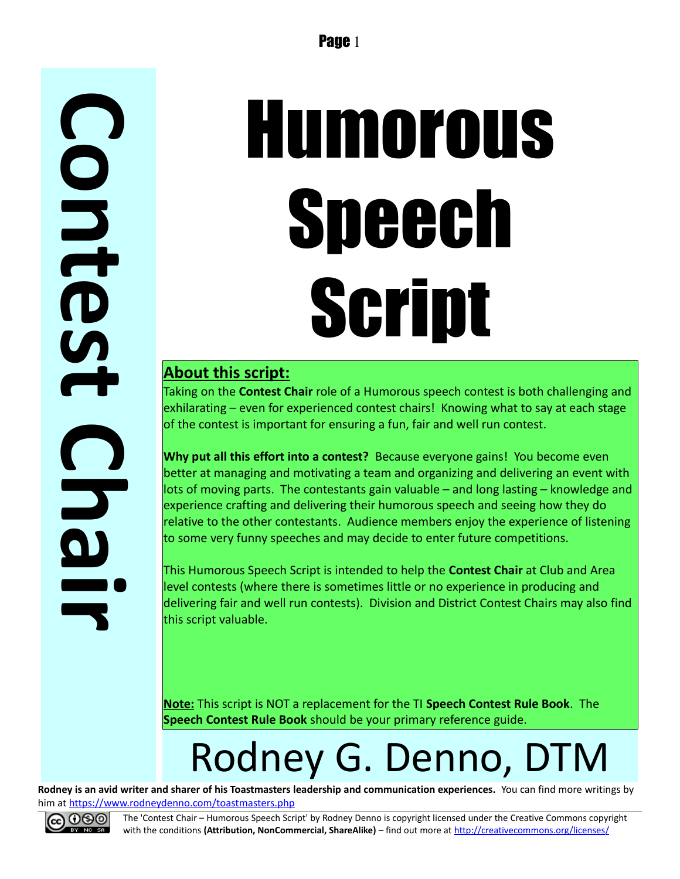**C o n t e s t C h a i r**

# Humorous Speech Script

#### **About this script:**

Taking on the **Contest Chair** role of a Humorous speech contest is both challenging and exhilarating – even for experienced contest chairs! Knowing what to say at each stage of the contest is important for ensuring a fun, fair and well run contest.

**Why put all this effort into a contest?** Because everyone gains! You become even better at managing and motivating a team and organizing and delivering an event with lots of moving parts. The contestants gain valuable – and long lasting – knowledge and experience crafting and delivering their humorous speech and seeing how they do relative to the other contestants. Audience members enjoy the experience of listening to some very funny speeches and may decide to enter future competitions.

This Humorous Speech Script is intended to help the **Contest Chair** at Club and Area level contests (where there is sometimes little or no experience in producing and delivering fair and well run contests). Division and District Contest Chairs may also find this script valuable.

**Note:** This script is NOT a replacement for the TI **Speech Contest Rule Book**. The **Speech Contest Rule Book** should be your primary reference guide.

## Rodney G. Denno, DTM

**Rodney is an avid writer and sharer of his Toastmasters leadership and communication experiences.** You can find more writings by him at<https://www.rodneydenno.com/toastmasters.php>



The 'Contest Chair – Humorous Speech Script' by Rodney Denno is copyright licensed under the Creative Commons copyright with the conditions (Attribution, NonCommercial, ShareAlike) – find out more at<http://creativecommons.org/licenses/>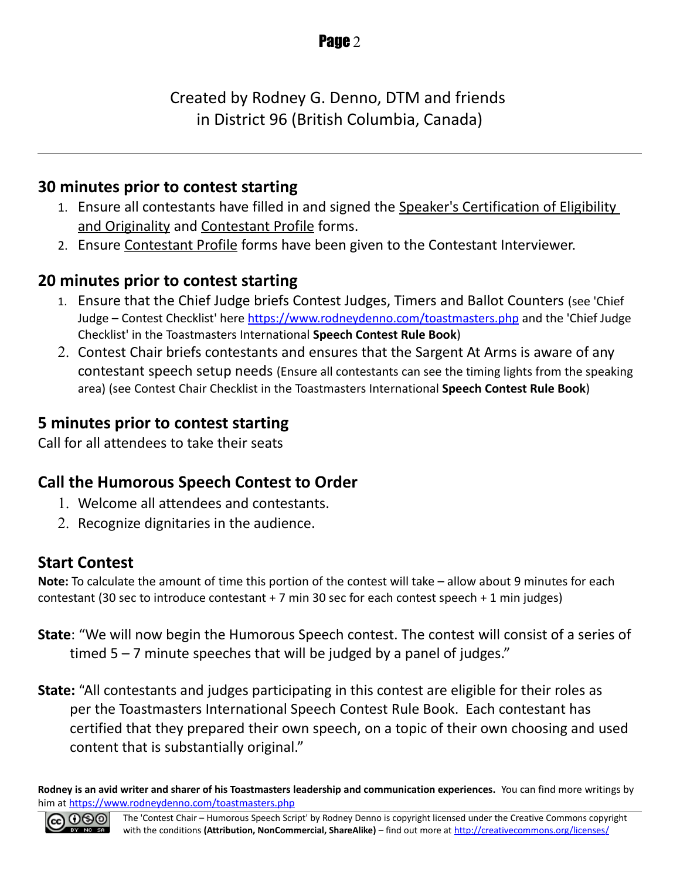Created by Rodney G. Denno, DTM and friends in District 96 (British Columbia, Canada)

#### **30 minutes prior to contest starting**

- 1. Ensure all contestants have filled in and signed the Speaker's Certification of Eligibility and Originality and Contestant Profile forms.
- 2. Ensure Contestant Profile forms have been given to the Contestant Interviewer.

#### **20 minutes prior to contest starting**

- 1. Ensure that the Chief Judge briefs Contest Judges, Timers and Ballot Counters (see 'Chief Judge – Contest Checklist' here<https://www.rodneydenno.com/toastmasters.php>and the 'Chief Judge Checklist' in the Toastmasters International **Speech Contest Rule Book**)
- 2. Contest Chair briefs contestants and ensures that the Sargent At Arms is aware of any contestant speech setup needs (Ensure all contestants can see the timing lights from the speaking area) (see Contest Chair Checklist in the Toastmasters International **Speech Contest Rule Book**)

#### **5 minutes prior to contest starting**

Call for all attendees to take their seats

#### **Call the Humorous Speech Contest to Order**

- 1. Welcome all attendees and contestants.
- 2. Recognize dignitaries in the audience.

#### **Start Contest**

**Note:** To calculate the amount of time this portion of the contest will take – allow about 9 minutes for each contestant (30 sec to introduce contestant + 7 min 30 sec for each contest speech + 1 min judges)

- **State**: "We will now begin the Humorous Speech contest. The contest will consist of a series of timed  $5 - 7$  minute speeches that will be judged by a panel of judges."
- **State:** "All contestants and judges participating in this contest are eligible for their roles as per the Toastmasters International Speech Contest Rule Book. Each contestant has certified that they prepared their own speech, on a topic of their own choosing and used content that is substantially original."

**Rodney is an avid writer and sharer of his Toastmasters leadership and communication experiences.** You can find more writings by him at<https://www.rodneydenno.com/toastmasters.php>

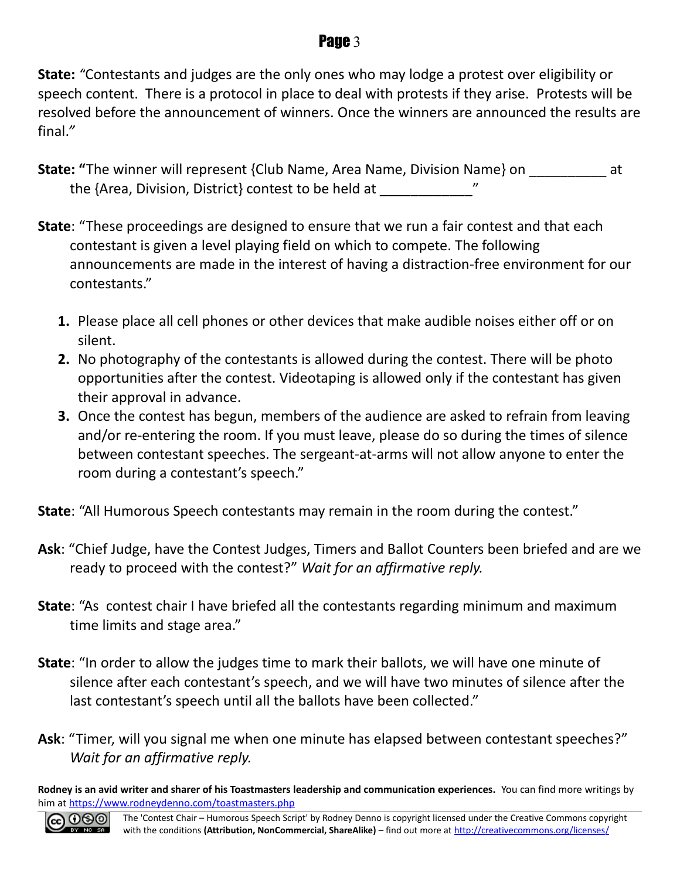#### Page 3

**State:** *"*Contestants and judges are the only ones who may lodge a protest over eligibility or speech content. There is a protocol in place to deal with protests if they arise. Protests will be resolved before the announcement of winners. Once the winners are announced the results are final.*"*

- **State: "**The winner will represent {Club Name, Area Name, Division Name} on \_\_\_\_\_\_\_\_\_\_ at the {Area, Division, District} contest to be held at
- **State**: "These proceedings are designed to ensure that we run a fair contest and that each contestant is given a level playing field on which to compete. The following announcements are made in the interest of having a distraction-free environment for our contestants."
	- **1.** Please place all cell phones or other devices that make audible noises either off or on silent.
	- **2.** No photography of the contestants is allowed during the contest. There will be photo opportunities after the contest. Videotaping is allowed only if the contestant has given their approval in advance.
	- **3.** Once the contest has begun, members of the audience are asked to refrain from leaving and/or re-entering the room. If you must leave, please do so during the times of silence between contestant speeches. The sergeant-at-arms will not allow anyone to enter the room during a contestant's speech."

**State**: "All Humorous Speech contestants may remain in the room during the contest."

- **Ask**: "Chief Judge, have the Contest Judges, Timers and Ballot Counters been briefed and are we ready to proceed with the contest?" *Wait for an affirmative reply.*
- **State**: "As contest chair I have briefed all the contestants regarding minimum and maximum time limits and stage area."
- **State**: "In order to allow the judges time to mark their ballots, we will have one minute of silence after each contestant's speech, and we will have two minutes of silence after the last contestant's speech until all the ballots have been collected."
- **Ask**: "Timer, will you signal me when one minute has elapsed between contestant speeches?" *Wait for an affirmative reply.*

**Rodney is an avid writer and sharer of his Toastmasters leadership and communication experiences.** You can find more writings by him at<https://www.rodneydenno.com/toastmasters.php>

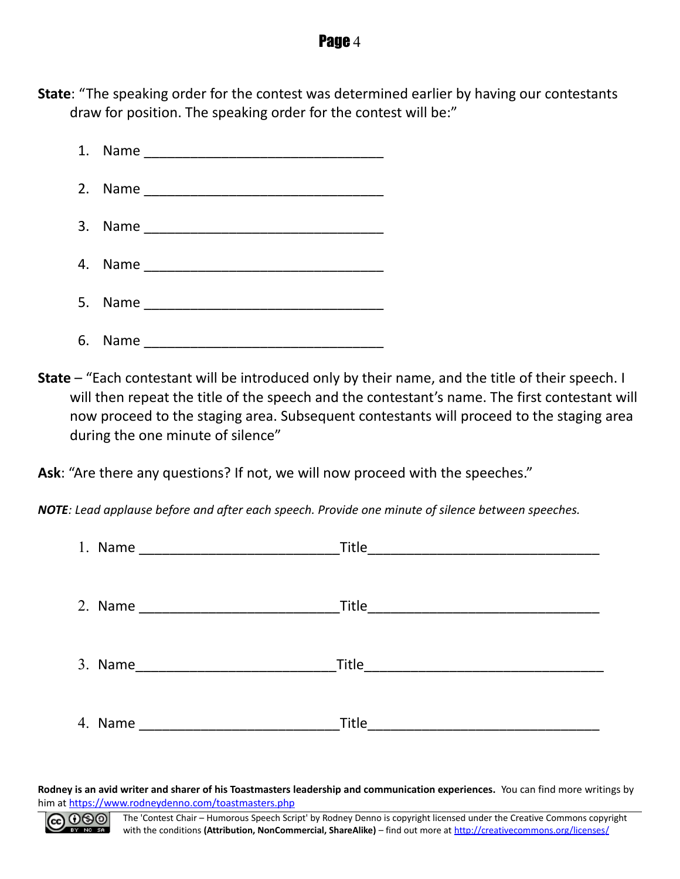#### **Page 4**

**State**: "The speaking order for the contest was determined earlier by having our contestants draw for position. The speaking order for the contest will be:"



**State** – "Each contestant will be introduced only by their name, and the title of their speech. I will then repeat the title of the speech and the contestant's name. The first contestant will now proceed to the staging area. Subsequent contestants will proceed to the staging area during the one minute of silence"

**Ask**: "Are there any questions? If not, we will now proceed with the speeches."

*NOTE: Lead applause before and after each speech. Provide one minute of silence between speeches.*

| 1. Name | Title |
|---------|-------|
|         |       |
| 2. Name | Title |
|         |       |
| 3. Name |       |
|         |       |
| 4. Name | Title |
|         |       |

**Rodney is an avid writer and sharer of his Toastmasters leadership and communication experiences.** You can find more writings by him at<https://www.rodneydenno.com/toastmasters.php>

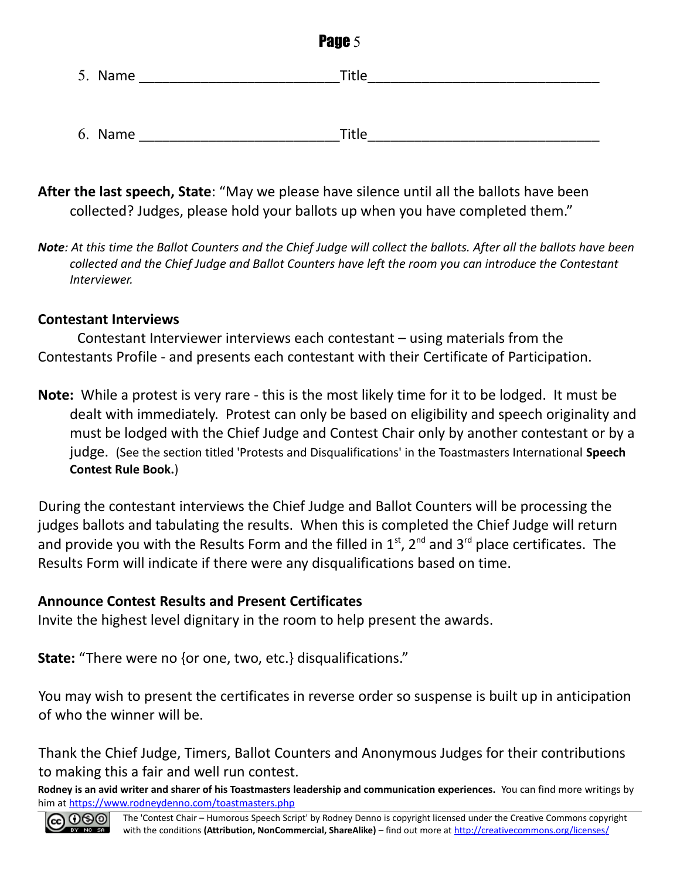| Page 5  |              |  |  |
|---------|--------------|--|--|
| 5. Name | Title        |  |  |
|         |              |  |  |
| 6. Name | <b>Title</b> |  |  |

- **After the last speech, State**: "May we please have silence until all the ballots have been collected? Judges, please hold your ballots up when you have completed them."
- *Note: At this time the Ballot Counters and the Chief Judge will collect the ballots. After all the ballots have been collected and the Chief Judge and Ballot Counters have left the room you can introduce the Contestant Interviewer.*

#### **Contestant Interviews**

Contestant Interviewer interviews each contestant – using materials from the Contestants Profile - and presents each contestant with their Certificate of Participation.

**Note:** While a protest is very rare - this is the most likely time for it to be lodged. It must be dealt with immediately. Protest can only be based on eligibility and speech originality and must be lodged with the Chief Judge and Contest Chair only by another contestant or by a judge. (See the section titled 'Protests and Disqualifications' in the Toastmasters International **Speech Contest Rule Book.**)

During the contestant interviews the Chief Judge and Ballot Counters will be processing the judges ballots and tabulating the results. When this is completed the Chief Judge will return and provide you with the Results Form and the filled in  $1<sup>st</sup>$ , 2<sup>nd</sup> and 3<sup>rd</sup> place certificates. The Results Form will indicate if there were any disqualifications based on time.

#### **Announce Contest Results and Present Certificates**

Invite the highest level dignitary in the room to help present the awards.

**State:** "There were no {or one, two, etc.} disqualifications."

You may wish to present the certificates in reverse order so suspense is built up in anticipation of who the winner will be.

Thank the Chief Judge, Timers, Ballot Counters and Anonymous Judges for their contributions to making this a fair and well run contest.

**Rodney is an avid writer and sharer of his Toastmasters leadership and communication experiences.** You can find more writings by him at<https://www.rodneydenno.com/toastmasters.php>

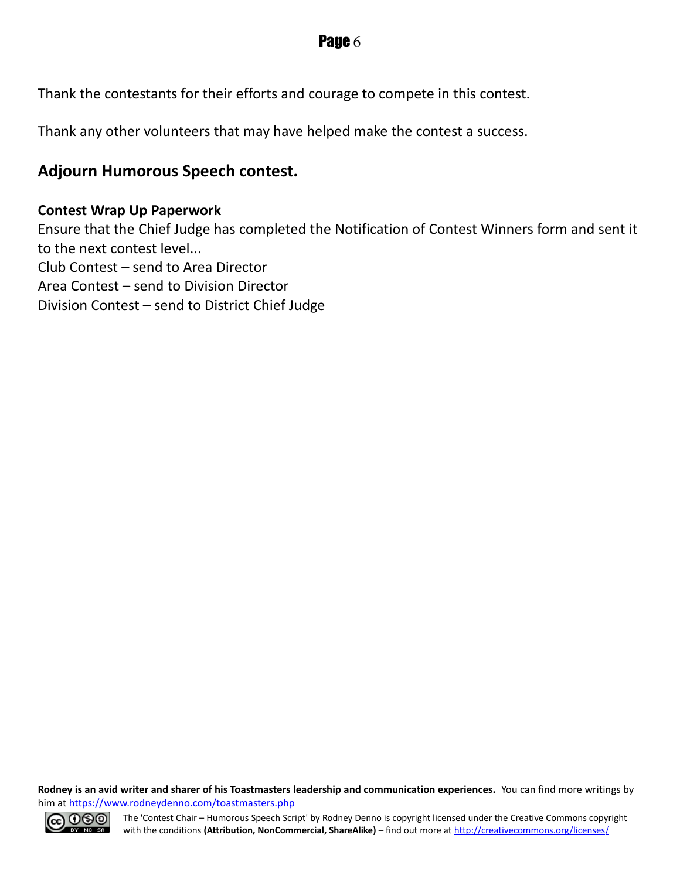Thank the contestants for their efforts and courage to compete in this contest.

Thank any other volunteers that may have helped make the contest a success.

#### **Adjourn Humorous Speech contest.**

#### **Contest Wrap Up Paperwork**

Ensure that the Chief Judge has completed the Notification of Contest Winners form and sent it to the next contest level... Club Contest – send to Area Director Area Contest – send to Division Director Division Contest – send to District Chief Judge

**Rodney is an avid writer and sharer of his Toastmasters leadership and communication experiences.** You can find more writings by him at<https://www.rodneydenno.com/toastmasters.php>